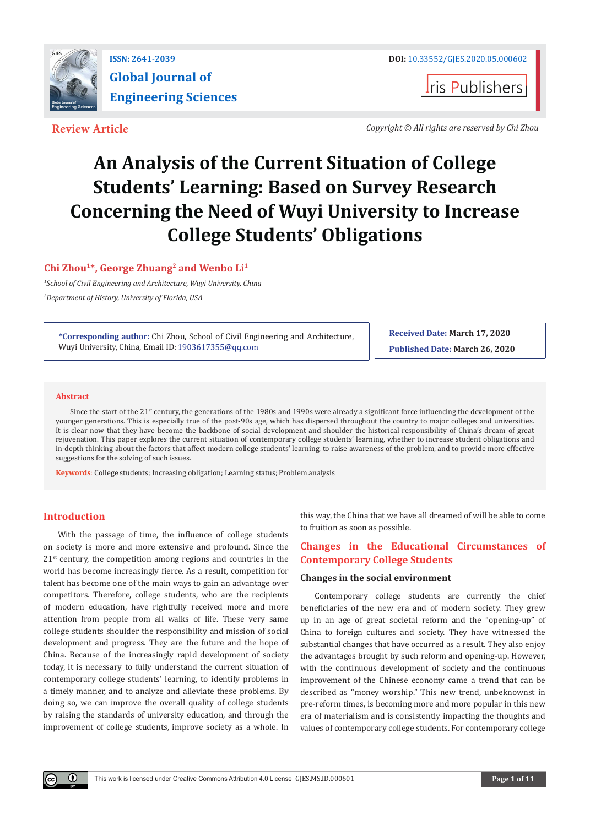

**ISSN: 2641-2039 DOI:** [10.33552/GJES.2020.05.000602](http://dx.doi.org/10.33552/GJES.2020.05.000602)

**t**ris Publishers

**Review Article** *Copyright © All rights are reserved by Chi Zhou*

# **An Analysis of the Current Situation of College Students' Learning: Based on Survey Research Concerning the Need of Wuyi University to Increase College Students' Obligations**

# **Chi Zhou1\*, George Zhuang2 and Wenbo Li1**

*1 School of Civil Engineering and Architecture, Wuyi University, China 2 Department of History, University of Florida, USA*

**\*Corresponding author:** Chi Zhou, School of Civil Engineering and Architecture, Wuyi University, China, Email ID: 1903617355@qq.com

**Received Date: March 17, 2020 Published Date: March 26, 2020**

# **Abstract**

Since the start of the 21<sup>st</sup> century, the generations of the 1980s and 1990s were already a significant force influencing the development of the younger generations. This is especially true of the post-90s age, which has dispersed throughout the country to major colleges and universities. It is clear now that they have become the backbone of social development and shoulder the historical responsibility of China's dream of great rejuvenation. This paper explores the current situation of contemporary college students' learning, whether to increase student obligations and in-depth thinking about the factors that affect modern college students' learning, to raise awareness of the problem, and to provide more effective suggestions for the solving of such issues.

**Keywords**: College students; Increasing obligation; Learning status; Problem analysis

# **Introduction**

 $\left( \cdot \right)$ 

With the passage of time, the influence of college students on society is more and more extensive and profound. Since the  $21<sup>st</sup>$  century, the competition among regions and countries in the world has become increasingly fierce. As a result, competition for talent has become one of the main ways to gain an advantage over competitors. Therefore, college students, who are the recipients of modern education, have rightfully received more and more attention from people from all walks of life. These very same college students shoulder the responsibility and mission of social development and progress. They are the future and the hope of China. Because of the increasingly rapid development of society today, it is necessary to fully understand the current situation of contemporary college students' learning, to identify problems in a timely manner, and to analyze and alleviate these problems. By doing so, we can improve the overall quality of college students by raising the standards of university education, and through the improvement of college students, improve society as a whole. In

this way, the China that we have all dreamed of will be able to come to fruition as soon as possible.

# **Changes in the Educational Circumstances of Contemporary College Students**

#### **Changes in the social environment**

Contemporary college students are currently the chief beneficiaries of the new era and of modern society. They grew up in an age of great societal reform and the "opening-up" of China to foreign cultures and society. They have witnessed the substantial changes that have occurred as a result. They also enjoy the advantages brought by such reform and opening-up. However, with the continuous development of society and the continuous improvement of the Chinese economy came a trend that can be described as "money worship." This new trend, unbeknownst in pre-reform times, is becoming more and more popular in this new era of materialism and is consistently impacting the thoughts and values of contemporary college students. For contemporary college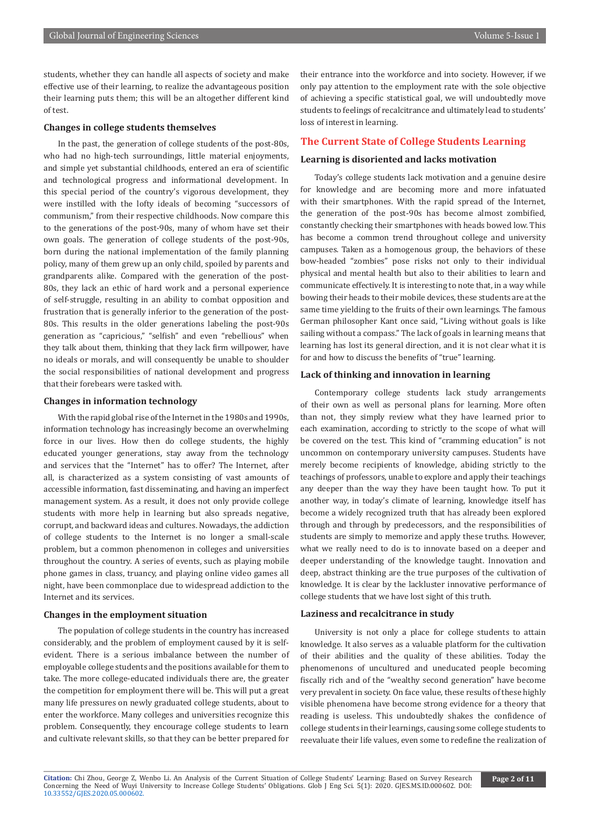students, whether they can handle all aspects of society and make effective use of their learning, to realize the advantageous position their learning puts them; this will be an altogether different kind of test.

### **Changes in college students themselves**

In the past, the generation of college students of the post-80s, who had no high-tech surroundings, little material enjoyments, and simple yet substantial childhoods, entered an era of scientific and technological progress and informational development. In this special period of the country's vigorous development, they were instilled with the lofty ideals of becoming "successors of communism," from their respective childhoods. Now compare this to the generations of the post-90s, many of whom have set their own goals. The generation of college students of the post-90s, born during the national implementation of the family planning policy, many of them grew up an only child, spoiled by parents and grandparents alike. Compared with the generation of the post-80s, they lack an ethic of hard work and a personal experience of self-struggle, resulting in an ability to combat opposition and frustration that is generally inferior to the generation of the post-80s. This results in the older generations labeling the post-90s generation as "capricious," "selfish" and even "rebellious" when they talk about them, thinking that they lack firm willpower, have no ideals or morals, and will consequently be unable to shoulder the social responsibilities of national development and progress that their forebears were tasked with.

#### **Changes in information technology**

With the rapid global rise of the Internet in the 1980s and 1990s, information technology has increasingly become an overwhelming force in our lives. How then do college students, the highly educated younger generations, stay away from the technology and services that the "Internet" has to offer? The Internet, after all, is characterized as a system consisting of vast amounts of accessible information, fast disseminating, and having an imperfect management system. As a result, it does not only provide college students with more help in learning but also spreads negative, corrupt, and backward ideas and cultures. Nowadays, the addiction of college students to the Internet is no longer a small-scale problem, but a common phenomenon in colleges and universities throughout the country. A series of events, such as playing mobile phone games in class, truancy, and playing online video games all night, have been commonplace due to widespread addiction to the Internet and its services.

#### **Changes in the employment situation**

The population of college students in the country has increased considerably, and the problem of employment caused by it is selfevident. There is a serious imbalance between the number of employable college students and the positions available for them to take. The more college-educated individuals there are, the greater the competition for employment there will be. This will put a great many life pressures on newly graduated college students, about to enter the workforce. Many colleges and universities recognize this problem. Consequently, they encourage college students to learn and cultivate relevant skills, so that they can be better prepared for

their entrance into the workforce and into society. However, if we only pay attention to the employment rate with the sole objective of achieving a specific statistical goal, we will undoubtedly move students to feelings of recalcitrance and ultimately lead to students' loss of interest in learning.

# **The Current State of College Students Learning**

# **Learning is disoriented and lacks motivation**

Today's college students lack motivation and a genuine desire for knowledge and are becoming more and more infatuated with their smartphones. With the rapid spread of the Internet, the generation of the post-90s has become almost zombified, constantly checking their smartphones with heads bowed low. This has become a common trend throughout college and university campuses. Taken as a homogenous group, the behaviors of these bow-headed "zombies" pose risks not only to their individual physical and mental health but also to their abilities to learn and communicate effectively. It is interesting to note that, in a way while bowing their heads to their mobile devices, these students are at the same time yielding to the fruits of their own learnings. The famous German philosopher Kant once said, "Living without goals is like sailing without a compass." The lack of goals in learning means that learning has lost its general direction, and it is not clear what it is for and how to discuss the benefits of "true" learning.

#### **Lack of thinking and innovation in learning**

Contemporary college students lack study arrangements of their own as well as personal plans for learning. More often than not, they simply review what they have learned prior to each examination, according to strictly to the scope of what will be covered on the test. This kind of "cramming education" is not uncommon on contemporary university campuses. Students have merely become recipients of knowledge, abiding strictly to the teachings of professors, unable to explore and apply their teachings any deeper than the way they have been taught how. To put it another way, in today's climate of learning, knowledge itself has become a widely recognized truth that has already been explored through and through by predecessors, and the responsibilities of students are simply to memorize and apply these truths. However, what we really need to do is to innovate based on a deeper and deeper understanding of the knowledge taught. Innovation and deep, abstract thinking are the true purposes of the cultivation of knowledge. It is clear by the lackluster innovative performance of college students that we have lost sight of this truth.

# **Laziness and recalcitrance in study**

University is not only a place for college students to attain knowledge. It also serves as a valuable platform for the cultivation of their abilities and the quality of these abilities. Today the phenomenons of uncultured and uneducated people becoming fiscally rich and of the "wealthy second generation" have become very prevalent in society. On face value, these results of these highly visible phenomena have become strong evidence for a theory that reading is useless. This undoubtedly shakes the confidence of college students in their learnings, causing some college students to reevaluate their life values, even some to redefine the realization of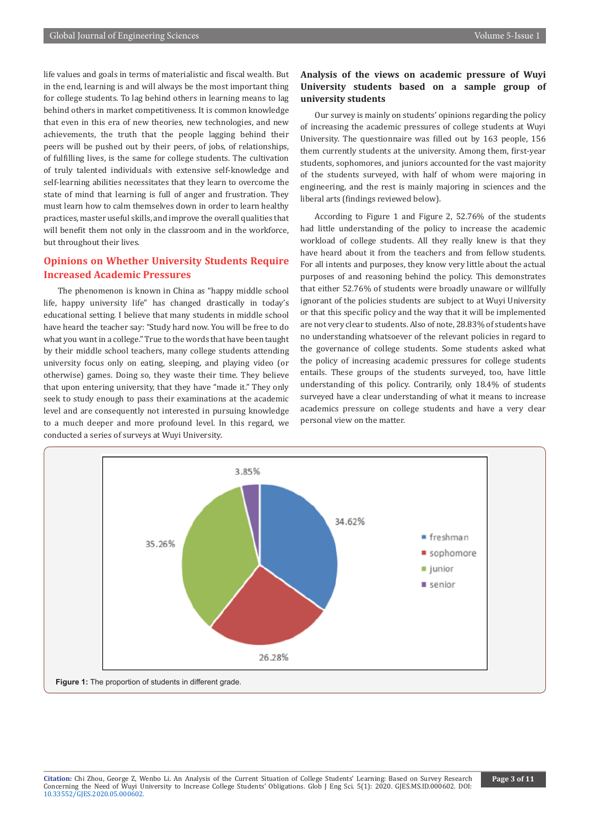life values and goals in terms of materialistic and fiscal wealth. But in the end, learning is and will always be the most important thing for college students. To lag behind others in learning means to lag behind others in market competitiveness. It is common knowledge that even in this era of new theories, new technologies, and new achievements, the truth that the people lagging behind their peers will be pushed out by their peers, of jobs, of relationships, of fulfilling lives, is the same for college students. The cultivation of truly talented individuals with extensive self-knowledge and self-learning abilities necessitates that they learn to overcome the state of mind that learning is full of anger and frustration. They must learn how to calm themselves down in order to learn healthy practices, master useful skills, and improve the overall qualities that will benefit them not only in the classroom and in the workforce, but throughout their lives.

# **Opinions on Whether University Students Require Increased Academic Pressures**

The phenomenon is known in China as "happy middle school life, happy university life" has changed drastically in today's educational setting. I believe that many students in middle school have heard the teacher say: "Study hard now. You will be free to do what you want in a college." True to the words that have been taught by their middle school teachers, many college students attending university focus only on eating, sleeping, and playing video (or otherwise) games. Doing so, they waste their time. They believe that upon entering university, that they have "made it." They only seek to study enough to pass their examinations at the academic level and are consequently not interested in pursuing knowledge to a much deeper and more profound level. In this regard, we conducted a series of surveys at Wuyi University.

# **Analysis of the views on academic pressure of Wuyi University students based on a sample group of university students**

Our survey is mainly on students' opinions regarding the policy of increasing the academic pressures of college students at Wuyi University. The questionnaire was filled out by 163 people, 156 them currently students at the university. Among them, first-year students, sophomores, and juniors accounted for the vast majority of the students surveyed, with half of whom were majoring in engineering, and the rest is mainly majoring in sciences and the liberal arts (findings reviewed below).

According to Figure 1 and Figure 2, 52.76% of the students had little understanding of the policy to increase the academic workload of college students. All they really knew is that they have heard about it from the teachers and from fellow students. For all intents and purposes, they know very little about the actual purposes of and reasoning behind the policy. This demonstrates that either 52.76% of students were broadly unaware or willfully ignorant of the policies students are subject to at Wuyi University or that this specific policy and the way that it will be implemented are not very clear to students. Also of note, 28.83% of students have no understanding whatsoever of the relevant policies in regard to the governance of college students. Some students asked what the policy of increasing academic pressures for college students entails. These groups of the students surveyed, too, have little understanding of this policy. Contrarily, only 18.4% of students surveyed have a clear understanding of what it means to increase academics pressure on college students and have a very clear personal view on the matter.

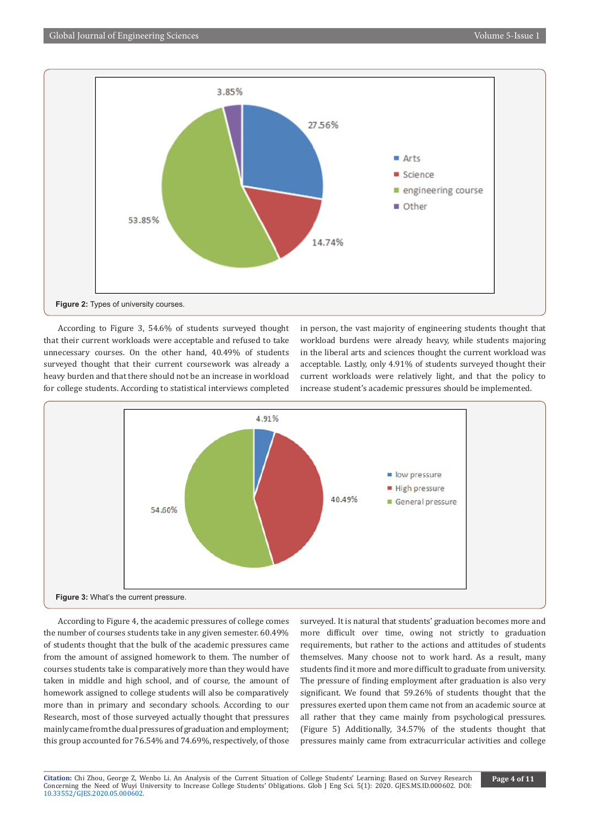

According to Figure 3, 54.6% of students surveyed thought that their current workloads were acceptable and refused to take unnecessary courses. On the other hand, 40.49% of students surveyed thought that their current coursework was already a heavy burden and that there should not be an increase in workload for college students. According to statistical interviews completed in person, the vast majority of engineering students thought that workload burdens were already heavy, while students majoring in the liberal arts and sciences thought the current workload was acceptable. Lastly, only 4.91% of students surveyed thought their current workloads were relatively light, and that the policy to increase student's academic pressures should be implemented.



According to Figure 4, the academic pressures of college comes the number of courses students take in any given semester. 60.49% of students thought that the bulk of the academic pressures came from the amount of assigned homework to them. The number of courses students take is comparatively more than they would have taken in middle and high school, and of course, the amount of homework assigned to college students will also be comparatively more than in primary and secondary schools. According to our Research, most of those surveyed actually thought that pressures mainly came from the dual pressures of graduation and employment; this group accounted for 76.54% and 74.69%, respectively, of those

surveyed. It is natural that students' graduation becomes more and more difficult over time, owing not strictly to graduation requirements, but rather to the actions and attitudes of students themselves. Many choose not to work hard. As a result, many students find it more and more difficult to graduate from university. The pressure of finding employment after graduation is also very significant. We found that 59.26% of students thought that the pressures exerted upon them came not from an academic source at all rather that they came mainly from psychological pressures. (Figure 5) Additionally, 34.57% of the students thought that pressures mainly came from extracurricular activities and college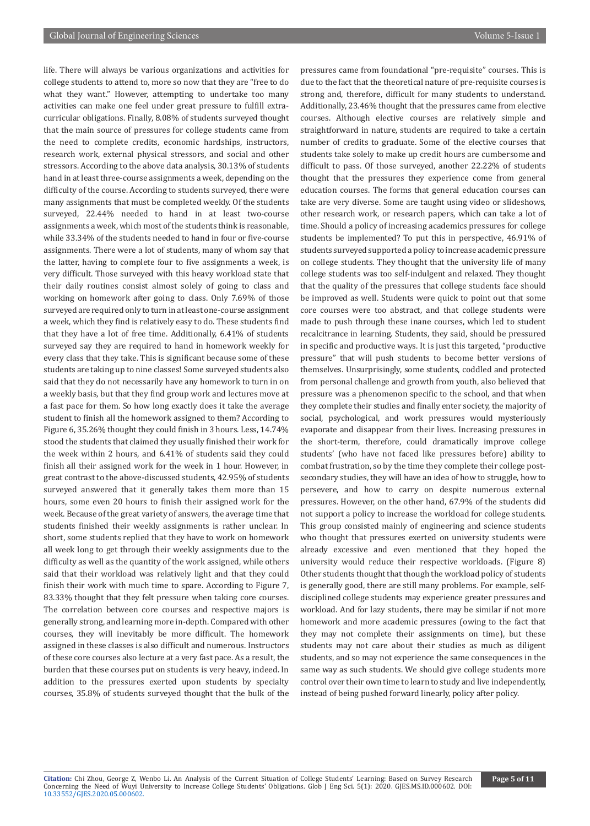life. There will always be various organizations and activities for college students to attend to, more so now that they are "free to do what they want." However, attempting to undertake too many activities can make one feel under great pressure to fulfill extracurricular obligations. Finally, 8.08% of students surveyed thought that the main source of pressures for college students came from the need to complete credits, economic hardships, instructors, research work, external physical stressors, and social and other stressors. According to the above data analysis, 30.13% of students hand in at least three-course assignments a week, depending on the difficulty of the course. According to students surveyed, there were many assignments that must be completed weekly. Of the students surveyed, 22.44% needed to hand in at least two-course assignments a week, which most of the students think is reasonable, while 33.34% of the students needed to hand in four or five-course assignments. There were a lot of students, many of whom say that the latter, having to complete four to five assignments a week, is very difficult. Those surveyed with this heavy workload state that their daily routines consist almost solely of going to class and working on homework after going to class. Only 7.69% of those surveyed are required only to turn in at least one-course assignment a week, which they find is relatively easy to do. These students find that they have a lot of free time. Additionally, 6.41% of students surveyed say they are required to hand in homework weekly for every class that they take. This is significant because some of these students are taking up to nine classes! Some surveyed students also said that they do not necessarily have any homework to turn in on a weekly basis, but that they find group work and lectures move at a fast pace for them. So how long exactly does it take the average student to finish all the homework assigned to them? According to Figure 6, 35.26% thought they could finish in 3 hours. Less, 14.74% stood the students that claimed they usually finished their work for the week within 2 hours, and 6.41% of students said they could finish all their assigned work for the week in 1 hour. However, in great contrast to the above-discussed students, 42.95% of students surveyed answered that it generally takes them more than 15 hours, some even 20 hours to finish their assigned work for the week. Because of the great variety of answers, the average time that students finished their weekly assignments is rather unclear. In short, some students replied that they have to work on homework all week long to get through their weekly assignments due to the difficulty as well as the quantity of the work assigned, while others said that their workload was relatively light and that they could finish their work with much time to spare. According to Figure 7, 83.33% thought that they felt pressure when taking core courses. The correlation between core courses and respective majors is generally strong, and learning more in-depth. Compared with other courses, they will inevitably be more difficult. The homework assigned in these classes is also difficult and numerous. Instructors of these core courses also lecture at a very fast pace. As a result, the burden that these courses put on students is very heavy, indeed. In addition to the pressures exerted upon students by specialty courses, 35.8% of students surveyed thought that the bulk of the

pressures came from foundational "pre-requisite" courses. This is due to the fact that the theoretical nature of pre-requisite courses is strong and, therefore, difficult for many students to understand. Additionally, 23.46% thought that the pressures came from elective courses. Although elective courses are relatively simple and straightforward in nature, students are required to take a certain number of credits to graduate. Some of the elective courses that students take solely to make up credit hours are cumbersome and difficult to pass. Of those surveyed, another 22.22% of students thought that the pressures they experience come from general education courses. The forms that general education courses can take are very diverse. Some are taught using video or slideshows, other research work, or research papers, which can take a lot of time. Should a policy of increasing academics pressures for college students be implemented? To put this in perspective, 46.91% of students surveyed supported a policy to increase academic pressure on college students. They thought that the university life of many college students was too self-indulgent and relaxed. They thought that the quality of the pressures that college students face should be improved as well. Students were quick to point out that some core courses were too abstract, and that college students were made to push through these inane courses, which led to student recalcitrance in learning. Students, they said, should be pressured in specific and productive ways. It is just this targeted, "productive pressure" that will push students to become better versions of themselves. Unsurprisingly, some students, coddled and protected from personal challenge and growth from youth, also believed that pressure was a phenomenon specific to the school, and that when they complete their studies and finally enter society, the majority of social, psychological, and work pressures would mysteriously evaporate and disappear from their lives. Increasing pressures in the short-term, therefore, could dramatically improve college students' (who have not faced like pressures before) ability to combat frustration, so by the time they complete their college postsecondary studies, they will have an idea of how to struggle, how to persevere, and how to carry on despite numerous external pressures. However, on the other hand, 67.9% of the students did not support a policy to increase the workload for college students. This group consisted mainly of engineering and science students who thought that pressures exerted on university students were already excessive and even mentioned that they hoped the university would reduce their respective workloads. (Figure 8) Other students thought that though the workload policy of students is generally good, there are still many problems. For example, selfdisciplined college students may experience greater pressures and workload. And for lazy students, there may be similar if not more homework and more academic pressures (owing to the fact that they may not complete their assignments on time), but these students may not care about their studies as much as diligent students, and so may not experience the same consequences in the same way as such students. We should give college students more control over their own time to learn to study and live independently, instead of being pushed forward linearly, policy after policy.

**Citation:** Chi Zhou, George Z, Wenbo Li. An Analysis of the Current Situation of College Students' Learning: Based on Survey Research Concerning the Need of Wuyi University to Increase College Students' Obligations. Glob J Eng Sci. 5(1): 2020. GJES.MS.ID.000602. DOI: [10.33552/GJES.2020.05.000602](http://dx.doi.org/10.33552/GJES.2020.05.000602).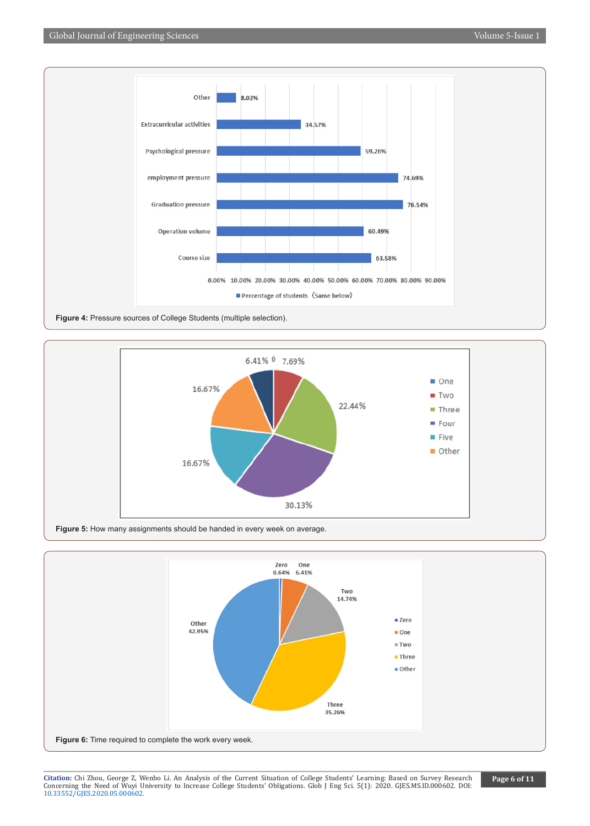





**Citation:** Chi Zhou, George Z, Wenbo Li. An Analysis of the Current Situation of College Students' Learning: Based on Survey Research Concerning the Need of Wuyi University to Increase College Students' Obligations. Glob J Eng Sci. 5(1): 2020. GJES.MS.ID.000602. DOI: [10.33552/GJES.2020.05.000602](http://dx.doi.org/10.33552/GJES.2020.05.000602).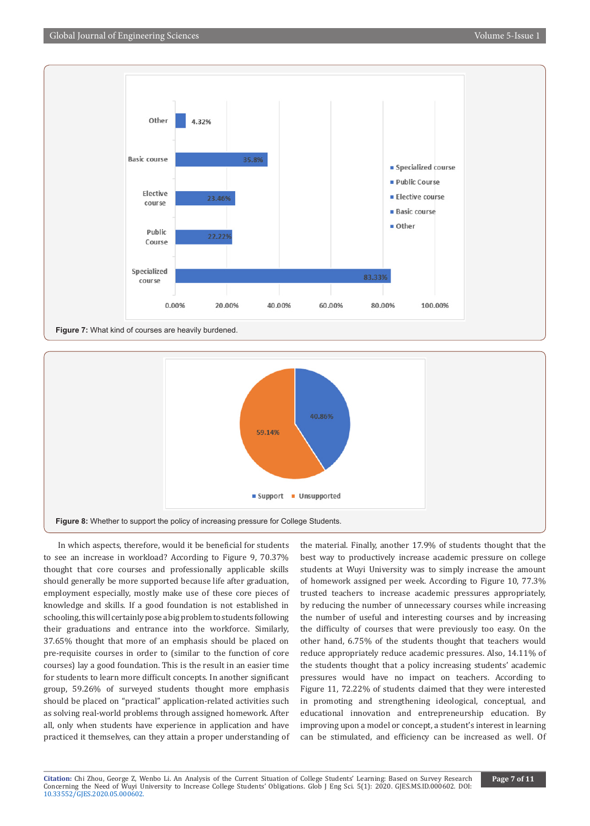

**Figure 7:** What kind of courses are heavily burdened.



In which aspects, therefore, would it be beneficial for students to see an increase in workload? According to Figure 9, 70.37% thought that core courses and professionally applicable skills should generally be more supported because life after graduation, employment especially, mostly make use of these core pieces of knowledge and skills. If a good foundation is not established in schooling, this will certainly pose a big problem to students following their graduations and entrance into the workforce. Similarly, 37.65% thought that more of an emphasis should be placed on pre-requisite courses in order to (similar to the function of core courses) lay a good foundation. This is the result in an easier time for students to learn more difficult concepts. In another significant group, 59.26% of surveyed students thought more emphasis should be placed on "practical" application-related activities such as solving real-world problems through assigned homework. After all, only when students have experience in application and have practiced it themselves, can they attain a proper understanding of

the material. Finally, another 17.9% of students thought that the best way to productively increase academic pressure on college students at Wuyi University was to simply increase the amount of homework assigned per week. According to Figure 10, 77.3% trusted teachers to increase academic pressures appropriately, by reducing the number of unnecessary courses while increasing the number of useful and interesting courses and by increasing the difficulty of courses that were previously too easy. On the other hand, 6.75% of the students thought that teachers would reduce appropriately reduce academic pressures. Also, 14.11% of the students thought that a policy increasing students' academic pressures would have no impact on teachers. According to Figure 11, 72.22% of students claimed that they were interested in promoting and strengthening ideological, conceptual, and educational innovation and entrepreneurship education. By improving upon a model or concept, a student's interest in learning can be stimulated, and efficiency can be increased as well. Of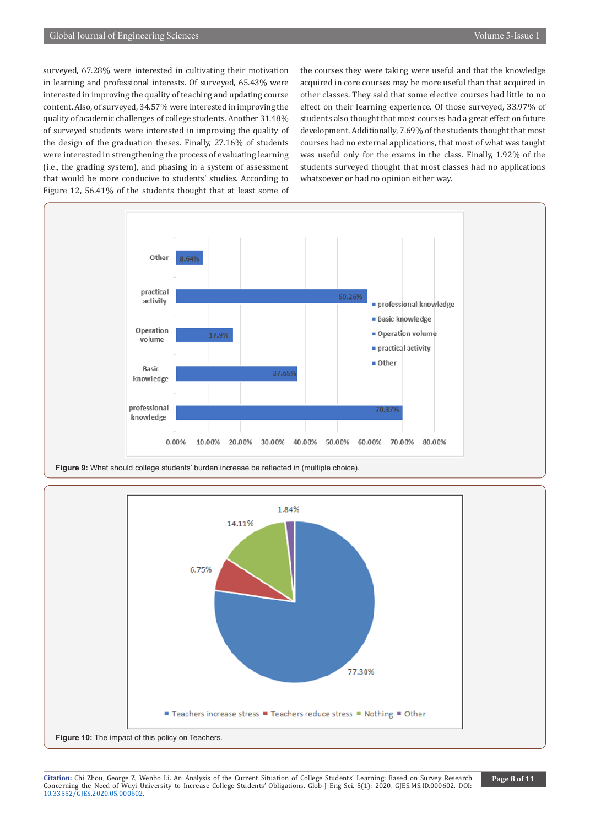surveyed, 67.28% were interested in cultivating their motivation in learning and professional interests. Of surveyed, 65.43% were interested in improving the quality of teaching and updating course content. Also, of surveyed, 34.57% were interested in improving the quality of academic challenges of college students. Another 31.48% of surveyed students were interested in improving the quality of the design of the graduation theses. Finally, 27.16% of students were interested in strengthening the process of evaluating learning (i.e., the grading system), and phasing in a system of assessment that would be more conducive to students' studies. According to Figure 12, 56.41% of the students thought that at least some of

the courses they were taking were useful and that the knowledge acquired in core courses may be more useful than that acquired in other classes. They said that some elective courses had little to no effect on their learning experience. Of those surveyed, 33.97% of students also thought that most courses had a great effect on future development. Additionally, 7.69% of the students thought that most courses had no external applications, that most of what was taught was useful only for the exams in the class. Finally, 1.92% of the students surveyed thought that most classes had no applications whatsoever or had no opinion either way.



Figure 9: What should college students' burden increase be reflected in (multiple choice).



**Citation:** Chi Zhou, George Z, Wenbo Li. An Analysis of the Current Situation of College Students' Learning: Based on Survey Research Concerning the Need of Wuyi University to Increase College Students' Obligations. Glob J Eng Sci. 5(1): 2020. GJES.MS.ID.000602. DOI: [10.33552/GJES.2020.05.000602](http://dx.doi.org/10.33552/GJES.2020.05.000602).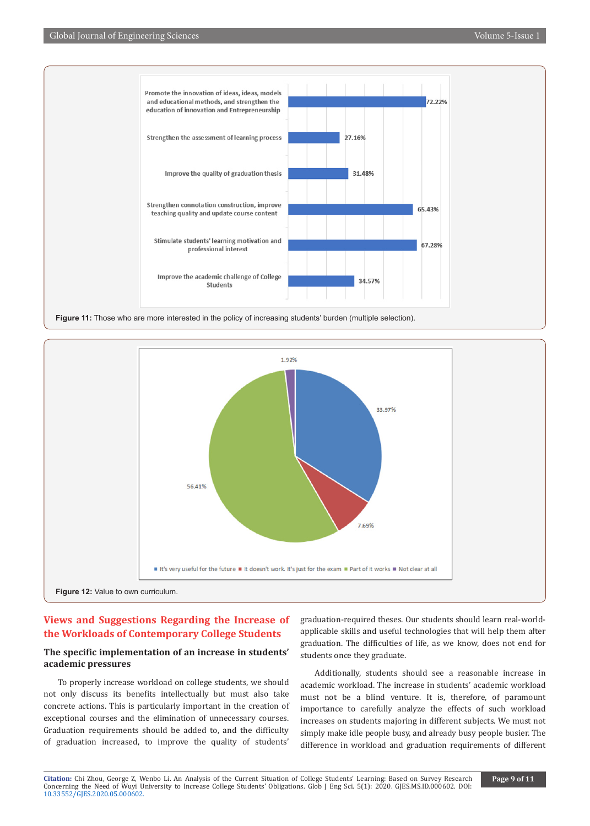

**Figure 11:** Those who are more interested in the policy of increasing students' burden (multiple selection).



# **Views and Suggestions Regarding the Increase of the Workloads of Contemporary College Students**

# **The specific implementation of an increase in students' academic pressures**

To properly increase workload on college students, we should not only discuss its benefits intellectually but must also take concrete actions. This is particularly important in the creation of exceptional courses and the elimination of unnecessary courses. Graduation requirements should be added to, and the difficulty of graduation increased, to improve the quality of students'

graduation-required theses. Our students should learn real-worldapplicable skills and useful technologies that will help them after graduation. The difficulties of life, as we know, does not end for students once they graduate.

Additionally, students should see a reasonable increase in academic workload. The increase in students' academic workload must not be a blind venture. It is, therefore, of paramount importance to carefully analyze the effects of such workload increases on students majoring in different subjects. We must not simply make idle people busy, and already busy people busier. The difference in workload and graduation requirements of different

**Citation:** Chi Zhou, George Z, Wenbo Li. An Analysis of the Current Situation of College Students' Learning: Based on Survey Research Concerning the Need of Wuyi University to Increase College Students' Obligations. Glob J Eng Sci. 5(1): 2020. GJES.MS.ID.000602. DOI: [10.33552/GJES.2020.05.000602](http://dx.doi.org/10.33552/GJES.2020.05.000602).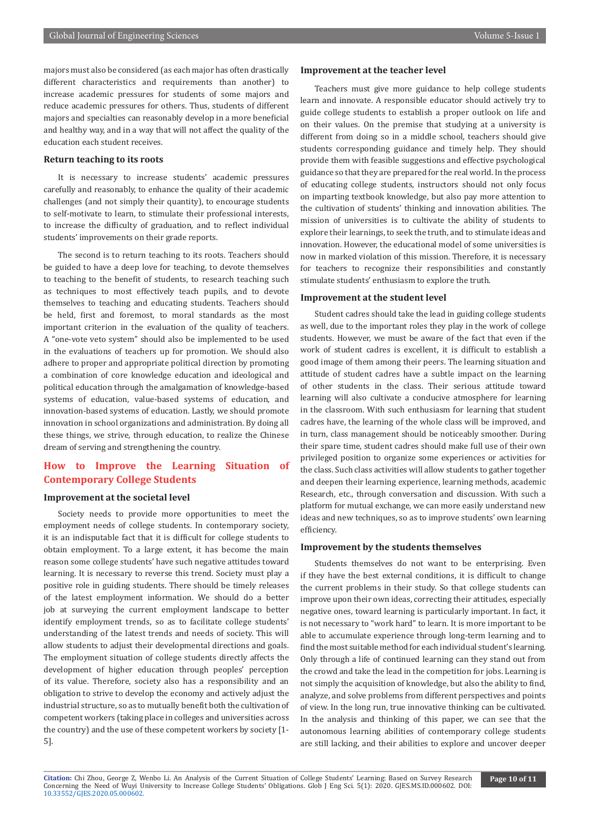majors must also be considered (as each major has often drastically different characteristics and requirements than another) to increase academic pressures for students of some majors and reduce academic pressures for others. Thus, students of different majors and specialties can reasonably develop in a more beneficial and healthy way, and in a way that will not affect the quality of the education each student receives.

#### **Return teaching to its roots**

It is necessary to increase students' academic pressures carefully and reasonably, to enhance the quality of their academic challenges (and not simply their quantity), to encourage students to self-motivate to learn, to stimulate their professional interests, to increase the difficulty of graduation, and to reflect individual students' improvements on their grade reports.

The second is to return teaching to its roots. Teachers should be guided to have a deep love for teaching, to devote themselves to teaching to the benefit of students, to research teaching such as techniques to most effectively teach pupils, and to devote themselves to teaching and educating students. Teachers should be held, first and foremost, to moral standards as the most important criterion in the evaluation of the quality of teachers. A "one-vote veto system" should also be implemented to be used in the evaluations of teachers up for promotion. We should also adhere to proper and appropriate political direction by promoting a combination of core knowledge education and ideological and political education through the amalgamation of knowledge-based systems of education, value-based systems of education, and innovation-based systems of education. Lastly, we should promote innovation in school organizations and administration. By doing all these things, we strive, through education, to realize the Chinese dream of serving and strengthening the country.

# **How to Improve the Learning Situation of Contemporary College Students**

### **Improvement at the societal level**

Society needs to provide more opportunities to meet the employment needs of college students. In contemporary society, it is an indisputable fact that it is difficult for college students to obtain employment. To a large extent, it has become the main reason some college students' have such negative attitudes toward learning. It is necessary to reverse this trend. Society must play a positive role in guiding students. There should be timely releases of the latest employment information. We should do a better job at surveying the current employment landscape to better identify employment trends, so as to facilitate college students' understanding of the latest trends and needs of society. This will allow students to adjust their developmental directions and goals. The employment situation of college students directly affects the development of higher education through peoples' perception of its value. Therefore, society also has a responsibility and an obligation to strive to develop the economy and actively adjust the industrial structure, so as to mutually benefit both the cultivation of competent workers (taking place in colleges and universities across the country) and the use of these competent workers by society [1- 5].

#### **Improvement at the teacher level**

Teachers must give more guidance to help college students learn and innovate. A responsible educator should actively try to guide college students to establish a proper outlook on life and on their values. On the premise that studying at a university is different from doing so in a middle school, teachers should give students corresponding guidance and timely help. They should provide them with feasible suggestions and effective psychological guidance so that they are prepared for the real world. In the process of educating college students, instructors should not only focus on imparting textbook knowledge, but also pay more attention to the cultivation of students' thinking and innovation abilities. The mission of universities is to cultivate the ability of students to explore their learnings, to seek the truth, and to stimulate ideas and innovation. However, the educational model of some universities is now in marked violation of this mission. Therefore, it is necessary for teachers to recognize their responsibilities and constantly stimulate students' enthusiasm to explore the truth.

# **Improvement at the student level**

Student cadres should take the lead in guiding college students as well, due to the important roles they play in the work of college students. However, we must be aware of the fact that even if the work of student cadres is excellent, it is difficult to establish a good image of them among their peers. The learning situation and attitude of student cadres have a subtle impact on the learning of other students in the class. Their serious attitude toward learning will also cultivate a conducive atmosphere for learning in the classroom. With such enthusiasm for learning that student cadres have, the learning of the whole class will be improved, and in turn, class management should be noticeably smoother. During their spare time, student cadres should make full use of their own privileged position to organize some experiences or activities for the class. Such class activities will allow students to gather together and deepen their learning experience, learning methods, academic Research, etc., through conversation and discussion. With such a platform for mutual exchange, we can more easily understand new ideas and new techniques, so as to improve students' own learning efficiency.

## **Improvement by the students themselves**

Students themselves do not want to be enterprising. Even if they have the best external conditions, it is difficult to change the current problems in their study. So that college students can improve upon their own ideas, correcting their attitudes, especially negative ones, toward learning is particularly important. In fact, it is not necessary to "work hard" to learn. It is more important to be able to accumulate experience through long-term learning and to find the most suitable method for each individual student's learning. Only through a life of continued learning can they stand out from the crowd and take the lead in the competition for jobs. Learning is not simply the acquisition of knowledge, but also the ability to find, analyze, and solve problems from different perspectives and points of view. In the long run, true innovative thinking can be cultivated. In the analysis and thinking of this paper, we can see that the autonomous learning abilities of contemporary college students are still lacking, and their abilities to explore and uncover deeper